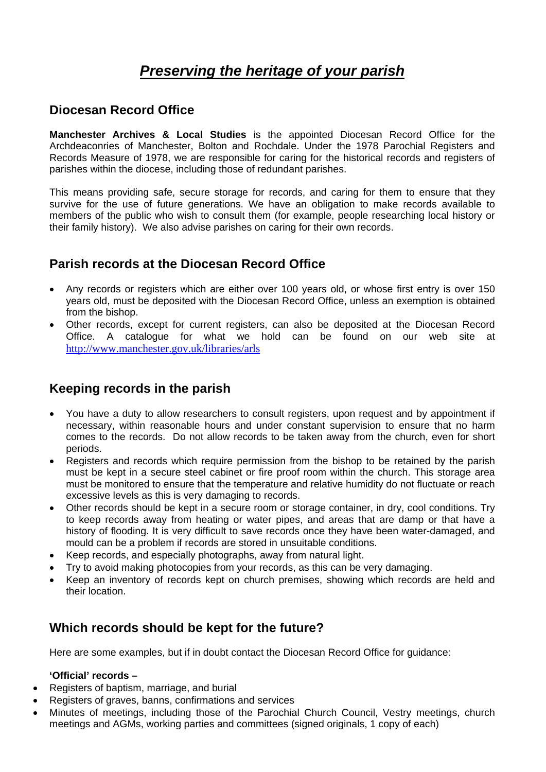# *Preserving the heritage of your parish*

### **Diocesan Record Office**

**Manchester Archives & Local Studies** is the appointed Diocesan Record Office for the Archdeaconries of Manchester, Bolton and Rochdale. Under the 1978 Parochial Registers and Records Measure of 1978, we are responsible for caring for the historical records and registers of parishes within the diocese, including those of redundant parishes.

This means providing safe, secure storage for records, and caring for them to ensure that they survive for the use of future generations. We have an obligation to make records available to members of the public who wish to consult them (for example, people researching local history or their family history). We also advise parishes on caring for their own records.

### **Parish records at the Diocesan Record Office**

- Any records or registers which are either over 100 years old, or whose first entry is over 150 years old, must be deposited with the Diocesan Record Office, unless an exemption is obtained from the bishop.
- Other records, except for current registers, can also be deposited at the Diocesan Record Office. A catalogue for what we hold can be found on our web site at <http://www.manchester.gov.uk/libraries/arls>

## **Keeping records in the parish**

- You have a duty to allow researchers to consult registers, upon request and by appointment if necessary, within reasonable hours and under constant supervision to ensure that no harm comes to the records. Do not allow records to be taken away from the church, even for short periods.
- Registers and records which require permission from the bishop to be retained by the parish must be kept in a secure steel cabinet or fire proof room within the church. This storage area must be monitored to ensure that the temperature and relative humidity do not fluctuate or reach excessive levels as this is very damaging to records.
- Other records should be kept in a secure room or storage container, in dry, cool conditions. Try to keep records away from heating or water pipes, and areas that are damp or that have a history of flooding. It is very difficult to save records once they have been water-damaged, and mould can be a problem if records are stored in unsuitable conditions.
- Keep records, and especially photographs, away from natural light.
- Try to avoid making photocopies from your records, as this can be very damaging.
- Keep an inventory of records kept on church premises, showing which records are held and their location.

#### **Which records should be kept for the future?**

Here are some examples, but if in doubt contact the Diocesan Record Office for guidance:

#### **'Official' records –**

- Registers of baptism, marriage, and burial
- Registers of graves, banns, confirmations and services
- Minutes of meetings, including those of the Parochial Church Council, Vestry meetings, church meetings and AGMs, working parties and committees (signed originals, 1 copy of each)